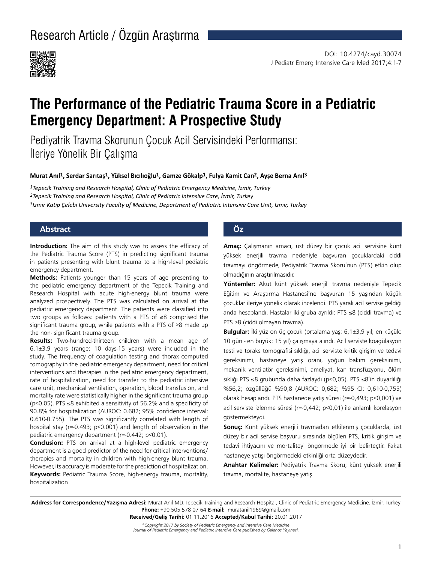

# **The Performance of the Pediatric Trauma Score in a Pediatric Emergency Department: A Prospective Study**

Pediyatrik Travma Skorunun Çocuk Acil Servisindeki Performansı: İleriye Yönelik Bir Çalışma

#### **Murat Anıl1, Serdar Sarıtaş1, Yüksel Bıcılıoğlu1, Gamze Gökalp1, Fulya Kamit Can2, Ayşe Berna Anıl3**

*1Tepecik Training and Research Hospital, Clinic of Pediatric Emergency Medicine, İzmir, Turkey 2Tepecik Training and Research Hospital, Clinic of Pediatric Intensive Care, İzmir, Turkey 3İzmir Katip Çelebi University Faculty of Medicine, Department of Pediatric Intensive Care Unit, İzmir, Turkey*

### **Abstract Öz**

**Introduction:** The aim of this study was to assess the efficacy of the Pediatric Trauma Score (PTS) in predicting significant trauma in patients presenting with blunt trauma to a high-level pediatric emergency department.

**Methods:** Patients younger than 15 years of age presenting to the pediatric emergency department of the Tepecik Training and Research Hospital with acute high-energy blunt trauma were analyzed prospectively. The PTS was calculated on arrival at the pediatric emergency department. The patients were classified into two groups as follows: patients with a PTS of ≤8 comprised the significant trauma group, while patients with a PTS of >8 made up the non- significant trauma group.

**Results:** Two-hundred-thirteen children with a mean age of 6.1±3.9 years (range: 10 days-15 years) were included in the study. The frequency of coagulation testing and thorax computed tomography in the pediatric emergency department, need for critical interventions and therapies in the pediatric emergency department, rate of hospitalization, need for transfer to the pediatric intensive care unit, mechanical ventilation, operation, blood transfusion, and mortality rate were statistically higher in the significant trauma group (p<0.05). PTS ≤8 exhibited a sensitivity of 56.2% and a specificity of 90.8% for hospitalization (AUROC: 0.682; 95% confidence interval: 0.610-0.755). The PTS was significantly correlated with length of hospital stay (r=-0.493; p<0.001) and length of observation in the pediatric emergency department (r=-0.442; p<0.01).

**Conclusion:** PTS on arrival at a high-level pediatric emergency department is a good predictor of the need for critical interventions/ therapies and mortality in children with high-energy blunt trauma. However, its accuracy is moderate for the prediction of hospitalization. **Keywords:** Pediatric Trauma Score, high-energy trauma, mortality, hospitalization

**Amaç:** Çalışmanın amacı, üst düzey bir çocuk acil servisine künt yüksek enerjili travma nedeniyle başvuran çocuklardaki ciddi travmayı öngörmede, Pediyatrik Travma Skoru'nun (PTS) etkin olup olmadığının araştırılmasıdır.

**Yöntemler:** Akut künt yüksek enerjili travma nedeniyle Tepecik Eğitim ve Araştırma Hastanesi'ne başvuran 15 yaşından küçük çocuklar ileriye yönelik olarak incelendi. PTS yaralı acil servise geldiği anda hesaplandı. Hastalar iki gruba ayrıldı: PTS ≤8 (ciddi travma) ve PTS >8 (ciddi olmayan travma).

**Bulgular:** İki yüz on üç çocuk (ortalama yaş: 6,1±3,9 yıl; en küçük: 10 gün - en büyük: 15 yıl) çalışmaya alındı. Acil serviste koagülasyon testi ve toraks tomografisi sıklığı, acil serviste kritik girişim ve tedavi gereksinimi, hastaneye yatış oranı, yoğun bakım gereksinimi, mekanik ventilatör gereksinimi, ameliyat, kan transfüzyonu, ölüm sıklığı PTS ≤8 grubunda daha fazlaydı (p<0,05). PTS ≤8'in duyarlılığı %56,2; özgüllüğü %90,8 (AUROC: 0,682; %95 CI: 0,610-0,755) olarak hesaplandı. PTS hastanede yatış süresi (r=-0,493; p<0,001) ve acil serviste izlenme süresi (r=-0,442; p<0,01) ile anlamlı korelasyon göstermekteydi.

**Sonuç:** Künt yüksek enerjili travmadan etkilenmiş çocuklarda, üst düzey bir acil servise başvuru sırasında ölçülen PTS, kritik girişim ve tedavi ihtiyacını ve mortaliteyi öngörmede iyi bir belirteçtir. Fakat hastaneye yatışı öngörmedeki etkinliği orta düzeydedir.

**Anahtar Kelimeler:** Pediyatrik Travma Skoru; künt yüksek enerjili travma, mortalite, hastaneye yatış

**Address for Correspondence/Yazışma Adresi:** Murat Anıl MD, Tepecik Training and Research Hospital, Clinic of Pediatric Emergency Medicine, İzmir, Turkey **Phone:** +90 505 578 07 64 **E-mail:** muratanil1969@gmail.com

**Received/Geliş Tarihi:** 01.11.2016 **Accepted/Kabul Tarihi:** 20.01.2017

*©Copyright 2017 by Society of Pediatric Emergency and Intensive Care Medicine Journal of Pediatric Emergency and Pediatric Intensive Care published by Galenos Yayınevi.*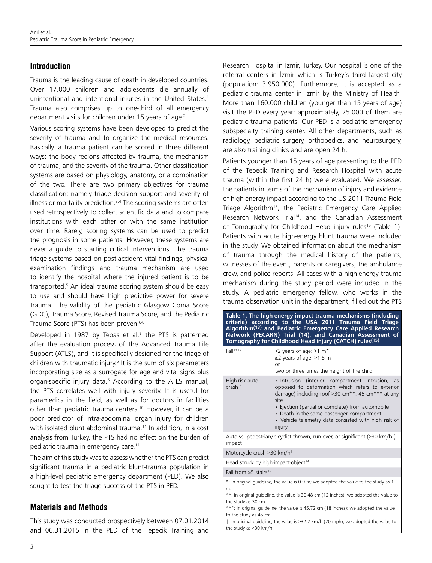## **Introduction**

Trauma is the leading cause of death in developed countries. Over 17.000 children and adolescents die annually of unintentional and intentional injuries in the United States.<sup>1</sup> Trauma also comprises up to one-third of all emergency department visits for children under 15 years of age.<sup>2</sup>

Various scoring systems have been developed to predict the severity of trauma and to organize the medical resources. Basically, a trauma patient can be scored in three different ways: the body regions affected by trauma, the mechanism of trauma, and the severity of the trauma. Other classification systems are based on physiology, anatomy, or a combination of the two. There are two primary objectives for trauma classification: namely triage decision support and severity of illness or mortality prediction. $3,4$  The scoring systems are often used retrospectively to collect scientific data and to compare institutions with each other or with the same institution over time. Rarely, scoring systems can be used to predict the prognosis in some patients. However, these systems are never a guide to starting critical interventions. The trauma triage systems based on post-accident vital findings, physical examination findings and trauma mechanism are used to identify the hospital where the injured patient is to be transported.<sup>5</sup> An ideal trauma scoring system should be easy to use and should have high predictive power for severe trauma. The validity of the pediatric Glasgow Coma Score (GDC), Trauma Score, Revised Trauma Score, and the Pediatric Trauma Score (PTS) has been proven.<sup>6-8</sup>

Developed in 1987 by Tepas et al.<sup>9</sup> the PTS is patterned after the evaluation process of the Advanced Trauma Life Support (ATLS), and it is specifically designed for the triage of children with traumatic injury.<sup>5</sup> It is the sum of six parameters incorporating size as a surrogate for age and vital signs plus organ-specific injury data.<sup>5</sup> According to the ATLS manual, the PTS correlates well with injury severity. It is useful for paramedics in the field, as well as for doctors in facilities other than pediatric trauma centers.<sup>10</sup> However, it can be a poor predictor of intra-abdominal organ injury for children with isolated blunt abdominal trauma.<sup>11</sup> In addition, in a cost analysis from Turkey, the PTS had no effect on the burden of pediatric trauma in emergency care.<sup>12</sup>

The aim of this study was to assess whether the PTS can predict significant trauma in a pediatric blunt-trauma population in a high-level pediatric emergency department (PED). We also sought to test the triage success of the PTS in PED.

### **Materials and Methods**

This study was conducted prospectively between 07.01.2014 and 06.31.2015 in the PED of the Tepecik Training and Research Hospital in İzmir, Turkey. Our hospital is one of the referral centers in İzmir which is Turkey's third largest city (population: 3.950.000). Furthermore, it is accepted as a pediatric trauma center in İzmir by the Ministry of Health. More than 160.000 children (younger than 15 years of age) visit the PED every year; approximately, 25.000 of them are pediatric trauma patients. Our PED is a pediatric emergency subspecialty training center. All other departments, such as radiology, pediatric surgery, orthopedics, and neurosurgery, are also training clinics and are open 24 h.

Patients younger than 15 years of age presenting to the PED of the Tepecik Training and Research Hospital with acute trauma (within the first 24 h) were evaluated. We assessed the patients in terms of the mechanism of injury and evidence of high-energy impact according to the US 2011 Trauma Field Triage Algorithm<sup>13</sup>, the Pediatric Emergency Care Applied Research Network Trial<sup>14</sup>, and the Canadian Assessment of Tomography for Childhood Head injury rules<sup>15</sup> (Table 1). Patients with acute high-energy blunt trauma were included in the study. We obtained information about the mechanism of trauma through the medical history of the patients, witnesses of the event, parents or caregivers, the ambulance crew, and police reports. All cases with a high-energy trauma mechanism during the study period were included in the study. A pediatric emergency fellow, who works in the trauma observation unit in the department, filled out the PTS

| Table 1. The high-energy impact trauma mechanisms (including<br>criteria) according to the USA 2011 Trauma Field Triage<br>Algorithm <sup>(13)</sup> and Pediatric Emergency Care Applied Research<br>Network (PECARN) Trial (14), and Canadian Assessment of<br>Tomography for Childhood Head injury (CATCH) rules <sup>(15)</sup>                                                                                                         |                                                                                                                                                                                                                                                                                                                                                            |  |  |
|---------------------------------------------------------------------------------------------------------------------------------------------------------------------------------------------------------------------------------------------------------------------------------------------------------------------------------------------------------------------------------------------------------------------------------------------|------------------------------------------------------------------------------------------------------------------------------------------------------------------------------------------------------------------------------------------------------------------------------------------------------------------------------------------------------------|--|--|
| Fall <sup>13,14</sup>                                                                                                                                                                                                                                                                                                                                                                                                                       | <2 years of age: $>1$ m <sup>*</sup><br>$\geq$ 2 years of age: >1.5 m<br><b>or</b><br>two or three times the height of the child                                                                                                                                                                                                                           |  |  |
| High-risk auto<br>$crash^{13}$                                                                                                                                                                                                                                                                                                                                                                                                              | . Intrusion (interior compartment intrusion, as<br>opposed to deformation which refers to exterior<br>damage) including roof >30 cm <sup>**</sup> ; 45 cm <sup>***</sup> at any<br>site<br>• Ejection (partial or complete) from automobile<br>• Death in the same passenger compartment<br>• Vehicle telemetry data consisted with high risk of<br>injury |  |  |
| impact                                                                                                                                                                                                                                                                                                                                                                                                                                      | Auto vs. pedestrian/bicyclist thrown, run over, or significant ( $>$ 30 km/h <sup>†</sup> )                                                                                                                                                                                                                                                                |  |  |
| Motorcycle crush >30 km/h <sup>t</sup>                                                                                                                                                                                                                                                                                                                                                                                                      |                                                                                                                                                                                                                                                                                                                                                            |  |  |
| Head struck by high-impact-object <sup>14</sup>                                                                                                                                                                                                                                                                                                                                                                                             |                                                                                                                                                                                                                                                                                                                                                            |  |  |
| Fall from $\geq$ 5 stairs <sup>15</sup>                                                                                                                                                                                                                                                                                                                                                                                                     |                                                                                                                                                                                                                                                                                                                                                            |  |  |
| *: In original guideline, the value is 0.9 m; we adopted the value to the study as 1<br>m.<br>**: In original quideline, the value is 30.48 cm (12 inches); we adopted the value to<br>the study as 30 cm.<br>***: In original guideline, the value is 45.72 cm (18 inches); we adopted the value<br>to the study as 45 cm.<br>t: In original guideline, the value is >32.2 km/h (20 mph); we adopted the value to<br>the study as >30 km/h |                                                                                                                                                                                                                                                                                                                                                            |  |  |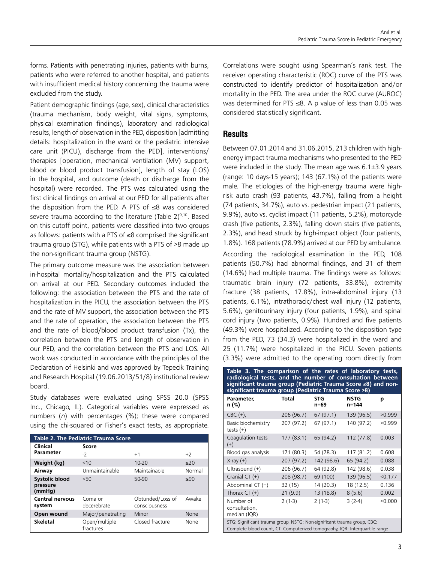forms. Patients with penetrating injuries, patients with burns, patients who were referred to another hospital, and patients with insufficient medical history concerning the trauma were excluded from the study.

Patient demographic findings (age, sex), clinical characteristics (trauma mechanism, body weight, vital signs, symptoms, physical examination findings), laboratory and radiological results, length of observation in the PED, disposition [admitting details: hospitalization in the ward or the pediatric intensive care unit (PICU), discharge from the PED], interventions/ therapies [operation, mechanical ventilation (MV) support, blood or blood product transfusion], length of stay (LOS) in the hospital, and outcome (death or discharge from the hospital) were recorded. The PTS was calculated using the first clinical findings on arrival at our PED for all patients after the disposition from the PED. A PTS of ≤8 was considered severe trauma according to the literature (Table  $2)^{9,10}$ . Based on this cutoff point, patients were classified into two groups as follows: patients with a PTS of ≤8 comprised the significant trauma group (STG), while patients with a PTS of >8 made up the non-significant trauma group (NSTG).

The primary outcome measure was the association between in-hospital mortality/hospitalization and the PTS calculated on arrival at our PED. Secondary outcomes included the following: the association between the PTS and the rate of hospitalization in the PICU, the association between the PTS and the rate of MV support, the association between the PTS and the rate of operation, the association between the PTS and the rate of blood/blood product transfusion (Tx), the correlation between the PTS and length of observation in our PED, and the correlation between the PTS and LOS. All work was conducted in accordance with the principles of the Declaration of Helsinki and was approved by Tepecik Training and Research Hospital (19.06.2013/51/8) institutional review board.

Study databases were evaluated using SPSS 20.0 (SPSS Inc., Chicago, IL). Categorical variables were expressed as numbers (*n*) with percentages (%); these were compared using the chi-squared or Fisher's exact tests, as appropriate.

| <b>Table 2. The Pediatric Trauma Score</b>  |                            |                                   |        |  |
|---------------------------------------------|----------------------------|-----------------------------------|--------|--|
| Clinical                                    | Score                      |                                   |        |  |
| <b>Parameter</b>                            | $-2$                       | $+1$                              | $+2$   |  |
| Weight (kg)                                 | <10                        | $10 - 20$                         | >20    |  |
| Airway                                      | Unmaintainable             | Maintainable                      | Normal |  |
| <b>Systolic blood</b><br>pressure<br>(mmHg) | 50<                        | $50-90$                           | >90    |  |
| <b>Central nervous</b><br>system            | Coma or<br>decerebrate     | Obtunded/Loss of<br>consciousness | Awake  |  |
| Open wound                                  | Major/penetrating          | Minor                             | None   |  |
| <b>Skeletal</b>                             | Open/multiple<br>fractures | Closed fracture                   | None   |  |

Correlations were sought using Spearman's rank test. The receiver operating characteristic (ROC) curve of the PTS was constructed to identify predictor of hospitalization and/or mortality in the PED. The area under the ROC curve (AUROC) was determined for PTS ≤8. A p value of less than 0.05 was considered statistically significant.

### **Results**

Between 07.01.2014 and 31.06.2015, 213 children with highenergy impact trauma mechanisms who presented to the PED were included in the study. The mean age was 6.1±3.9 years (range: 10 days-15 years); 143 (67.1%) of the patients were male. The etiologies of the high-energy trauma were highrisk auto crash (93 patients, 43.7%), falling from a height (74 patients, 34.7%), auto vs. pedestrian impact (21 patients, 9.9%), auto vs. cyclist impact (11 patients, 5.2%), motorcycle crash (five patients, 2.3%), falling down stairs (five patients, 2.3%), and head struck by high-impact object (four patients, 1.8%). 168 patients (78.9%) arrived at our PED by ambulance.

According the radiological examination in the PED, 108 patients (50.7%) had abnormal findings, and 31 of them (14.6%) had multiple trauma. The findings were as follows: traumatic brain injury (72 patients, 33.8%), extremity fracture (38 patients, 17.8%), intra-abdominal injury (13 patients, 6.1%), intrathoracic/chest wall injury (12 patients, 5.6%), genitourinary injury (four patients, 1.9%), and spinal cord injury (two patients, 0.9%). Hundred and five patients (49.3%) were hospitalized. According to the disposition type from the PED, 73 (34.3) were hospitalized in the ward and 25 (11.7%) were hospitalized in the PICU. Seven patients (3.3%) were admitted to the operating room directly from

| Table 3. The comparison of the rates of laboratory tests,<br>radiological tests, and the number of consultation between<br>significant trauma group (Pediatric Trauma Score ≤8) and non-<br>significant trauma group (Pediatric Trauma Score >8) |              |                    |                      |         |
|--------------------------------------------------------------------------------------------------------------------------------------------------------------------------------------------------------------------------------------------------|--------------|--------------------|----------------------|---------|
| Parameter,<br>n (%)                                                                                                                                                                                                                              | <b>Total</b> | <b>STG</b><br>n=69 | <b>NSTG</b><br>n=144 | p       |
| $CBC (+)$                                                                                                                                                                                                                                        | 206 (96.7)   | 67(97.1)           | 139 (96.5)           | >0.999  |
| Basic biochemistry<br>tests $(+)$                                                                                                                                                                                                                | 207 (97.2)   | 67(97.1)           | 140 (97.2)           | >0.999  |
| Coagulation tests<br>$^{(+)}$                                                                                                                                                                                                                    | 177(83.1)    | 65 (94.2)          | 112 (77.8)           | 0.003   |
| Blood gas analysis                                                                                                                                                                                                                               | 171 (80.3)   | 54 (78.3)          | 117 (81.2)           | 0.608   |
| $X-ray (+)$                                                                                                                                                                                                                                      | 207 (97.2)   | 142 (98.6)         | 65 (94.2)            | 0.088   |
| Ultrasound (+)                                                                                                                                                                                                                                   | 206 (96.7)   | 64 (92.8)          | 142 (98.6)           | 0.038   |
| Cranial CT $(+)$                                                                                                                                                                                                                                 | 208 (98.7)   | 69 (100)           | 139 (96.5)           | < 0.177 |
| Abdominal CT (+)                                                                                                                                                                                                                                 | 32(15)       | 14 (20.3)          | 18 (12.5)            | 0.136   |
| Thorax $CT (+)$                                                                                                                                                                                                                                  | 21(9.9)      | 13 (18.8)          | 8(5.6)               | 0.002   |
| Number of<br>consultation,<br>median (IQR)                                                                                                                                                                                                       | $2(1-3)$     | $2(1-3)$           | $3(2-4)$             | < 0.000 |
| STG: Significant trauma group, NSTG: Non-significant trauma group, CBC:<br>Complete blood count, CT: Computerized tomography, IQR: Interquartile range                                                                                           |              |                    |                      |         |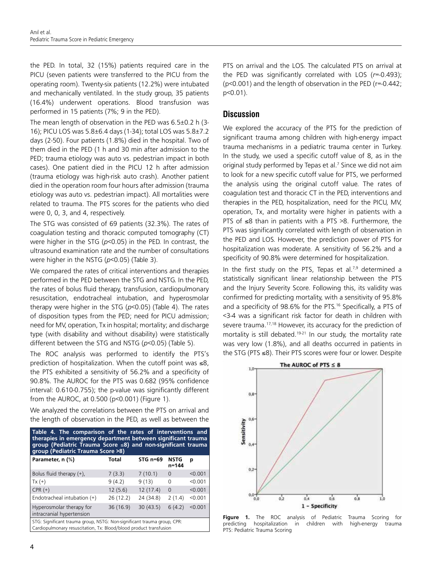the PED. In total, 32 (15%) patients required care in the PICU (seven patients were transferred to the PICU from the operating room). Twenty-six patients (12.2%) were intubated and mechanically ventilated. In the study group, 35 patients (16.4%) underwent operations. Blood transfusion was performed in 15 patients (7%; 9 in the PED).

The mean length of observation in the PED was 6.5±0.2 h (3- 16); PICU LOS was 5.8±6.4 days (1-34); total LOS was 5.8±7.2 days (2-50). Four patients (1.8%) died in the hospital. Two of them died in the PED (1 h and 30 min after admission to the PED; trauma etiology was auto vs. pedestrian impact in both cases). One patient died in the PICU 12 h after admission (trauma etiology was high-risk auto crash). Another patient died in the operation room four hours after admission (trauma etiology was auto vs. pedestrian impact). All mortalities were related to trauma. The PTS scores for the patients who died were 0, 0, 3, and 4, respectively.

The STG was consisted of 69 patients (32.3%). The rates of coagulation testing and thoracic computed tomography (CT) were higher in the STG (*p*<0.05) in the PED. In contrast, the ultrasound examination rate and the number of consultations were higher in the NSTG (*p*<0.05) (Table 3).

We compared the rates of critical interventions and therapies performed in the PED between the STG and NSTG. In the PED, the rates of bolus fluid therapy, transfusion, cardiopulmonary resuscitation, endotracheal intubation, and hyperosmolar therapy were higher in the STG (*p*<0.05) (Table 4). The rates of disposition types from the PED; need for PICU admission; need for MV, operation, Tx in hospital; mortality; and discharge type (with disability and without disability) were statistically different between the STG and NSTG (*p*<0.05) (Table 5).

The ROC analysis was performed to identify the PTS's prediction of hospitalization. When the cutoff point was ≤8, the PTS exhibited a sensitivity of 56.2% and a specificity of 90.8%. The AUROC for the PTS was 0.682 (95% confidence interval: 0.610-0.755); the p-value was significantly different from the AUROC, at 0.500 (p<0.001) (Figure 1).

We analyzed the correlations between the PTS on arrival and the length of observation in the PED, as well as between the

| Table 4. The comparison of the rates of interventions and<br>therapies in emergency department between significant trauma<br>group (Pediatric Trauma Score $\leq 8$ ) and non-significant trauma<br>group (Pediatric Trauma Score >8) |          |            |                      |         |  |
|---------------------------------------------------------------------------------------------------------------------------------------------------------------------------------------------------------------------------------------|----------|------------|----------------------|---------|--|
| Parameter, n (%)                                                                                                                                                                                                                      | Total    | STG $n=69$ | <b>NSTG</b><br>n=144 | р       |  |
| Bolus fluid therapy $(+)$ ,                                                                                                                                                                                                           | 7(3.3)   | 7(10.1)    | $\Omega$             | < 0.001 |  |
| $Tx (+)$                                                                                                                                                                                                                              | 9(4.2)   | 9(13)      | $\Omega$             | < 0.001 |  |
| $CPR (+)$                                                                                                                                                                                                                             | 12(5.6)  | 12(17.4)   | $\mathbf 0$          | < 0.001 |  |
| Endotracheal intubation (+)                                                                                                                                                                                                           | 26(12.2) | 24 (34.8)  | 2(1.4)               | < 0.001 |  |
| Hyperosmolar therapy for<br>intracranial hypertension                                                                                                                                                                                 | 36(16.9) | 30(43.5)   | 6(4.2)               | < 0.001 |  |
| STG: Significant trauma group, NSTG: Non-significant trauma group, CPR:<br>Cardiopulmonary resuscitation, Tx: Blood/blood product transfusion                                                                                         |          |            |                      |         |  |

PTS on arrival and the LOS. The calculated PTS on arrival at the PED was significantly correlated with LOS (*r*=-0.493); (p<0.001) and the length of observation in the PED (r=-0.442; p<0.01).

#### **Discussion**

We explored the accuracy of the PTS for the prediction of significant trauma among children with high-energy impact trauma mechanisms in a pediatric trauma center in Turkey. In the study, we used a specific cutoff value of 8, as in the original study performed by Tepas et al.<sup>7</sup> Since we did not aim to look for a new specific cutoff value for PTS, we performed the analysis using the original cutoff value. The rates of coagulation test and thoracic CT in the PED, interventions and therapies in the PED, hospitalization, need for the PICU, MV, operation, Tx, and mortality were higher in patients with a PTS of ≤8 than in patients with a PTS >8. Furthermore, the PTS was significantly correlated with length of observation in the PED and LOS. However, the prediction power of PTS for hospitalization was moderate. A sensitivity of 56.2% and a specificity of 90.8% were determined for hospitalization.

In the first study on the PTS, Tepas et al. $7.9$  determined a statistically significant linear relationship between the PTS and the Injury Severity Score. Following this, its validity was confirmed for predicting mortality, with a sensitivity of 95.8% and a specificity of 98.6% for the PTS.<sup>16</sup> Specifically, a PTS of <3-4 was a significant risk factor for death in children with severe trauma.<sup>17,18</sup> However, its accuracy for the prediction of mortality is still debated.<sup>19-21</sup> In our study, the mortality rate was very low (1.8%), and all deaths occurred in patients in the STG (PTS ≤8). Their PTS scores were four or lower. Despite



**Figure 1.** The ROC analysis of Pediatric Trauma Scoring for predicting hospitalization in children with high-energy trauma PTS: Pediatric Trauma Scoring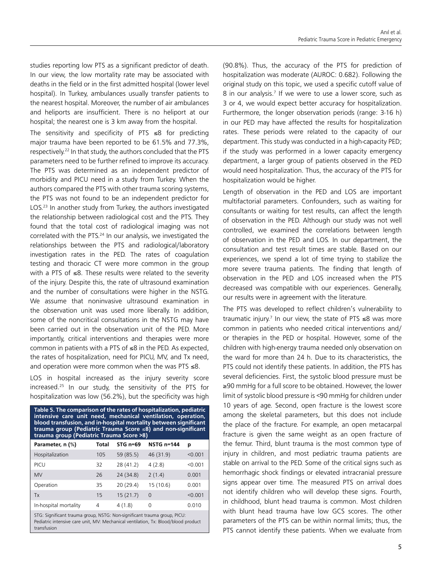studies reporting low PTS as a significant predictor of death. In our view, the low mortality rate may be associated with deaths in the field or in the first admitted hospital (lower level hospital). In Turkey, ambulances usually transfer patients to the nearest hospital. Moreover, the number of air ambulances and heliports are insufficient. There is no heliport at our hospital; the nearest one is 3 km away from the hospital.

The sensitivity and specificity of PTS ≤8 for predicting major trauma have been reported to be 61.5% and 77.3%, respectively.<sup>22</sup> In that study, the authors concluded that the PTS parameters need to be further refined to improve its accuracy. The PTS was determined as an independent predictor of morbidity and PICU need in a study from Turkey. When the authors compared the PTS with other trauma scoring systems, the PTS was not found to be an independent predictor for LOS.<sup>23</sup> In another study from Turkey, the authors investigated the relationship between radiological cost and the PTS. They found that the total cost of radiological imaging was not correlated with the PTS.<sup>24</sup> In our analysis, we investigated the relationships between the PTS and radiological/laboratory investigation rates in the PED. The rates of coagulation testing and thoracic CT were more common in the group with a PTS of ≤8. These results were related to the severity of the injury. Despite this, the rate of ultrasound examination and the number of consultations were higher in the NSTG. We assume that noninvasive ultrasound examination in the observation unit was used more liberally. In addition, some of the noncritical consultations in the NSTG may have been carried out in the observation unit of the PED. More importantly, critical interventions and therapies were more common in patients with a PTS of ≤8 in the PED. As expected, the rates of hospitalization, need for PICU, MV, and Tx need, and operation were more common when the was PTS ≤8.

LOS in hospital increased as the injury severity score increased.25 In our study, the sensitivity of the PTS for hospitalization was low (56.2%), but the specificity was high

| Table 5. The comparison of the rates of hospitalization, pediatric<br>intensive care unit need, mechanical ventilation, operation,<br>blood transfusion, and in-hospital mortality between significant<br>trauma group (Pediatric Trauma Score $\leq 8$ ) and non-significant<br>trauma group (Pediatric Trauma Score >8) |              |            |                   |         |
|---------------------------------------------------------------------------------------------------------------------------------------------------------------------------------------------------------------------------------------------------------------------------------------------------------------------------|--------------|------------|-------------------|---------|
| Parameter, n (%)                                                                                                                                                                                                                                                                                                          | <b>Total</b> | STG $n=69$ | <b>NSTG n=144</b> | p       |
| Hospitalization                                                                                                                                                                                                                                                                                                           | 105          | 59 (85.5)  | 46 (31.9)         | < 0.001 |
| PICU                                                                                                                                                                                                                                                                                                                      | 32           | 28 (41.2)  | 4(2.8)            | < 0.001 |
| <b>MV</b>                                                                                                                                                                                                                                                                                                                 | 26           | 24 (34.8)  | 2(1.4)            | 0.001   |
| Operation                                                                                                                                                                                                                                                                                                                 | 35           | 20(29.4)   | 15(10.6)          | 0.001   |
| Tx                                                                                                                                                                                                                                                                                                                        | 15           | 15(21.7)   | $\Omega$          | < 0.001 |
| In-hospital mortality                                                                                                                                                                                                                                                                                                     | 4            | 4(1.8)     | $\Omega$          | 0.010   |
| STG: Significant trauma group, NSTG: Non-significant trauma group, PICU:<br>Pediatric intensive care unit MV: Mechanical ventilation Tx: Blood/blood product                                                                                                                                                              |              |            |                   |         |

Pediatric intensive care unit, MV: Mechanical ventilation, Tx: Blood/blood product transfusion

(90.8%). Thus, the accuracy of the PTS for prediction of hospitalization was moderate (AUROC: 0.682). Following the original study on this topic, we used a specific cutoff value of 8 in our analysis.<sup>7</sup> If we were to use a lower score, such as 3 or 4, we would expect better accuracy for hospitalization. Furthermore, the longer observation periods (range: 3-16 h) in our PED may have affected the results for hospitalization rates. These periods were related to the capacity of our department. This study was conducted in a high-capacity PED; if the study was performed in a lower capacity emergency department, a larger group of patients observed in the PED would need hospitalization. Thus, the accuracy of the PTS for hospitalization would be higher.

Length of observation in the PED and LOS are important multifactorial parameters. Confounders, such as waiting for consultants or waiting for test results, can affect the length of observation in the PED. Although our study was not well controlled, we examined the correlations between length of observation in the PED and LOS. In our department, the consultation and test result times are stable. Based on our experiences, we spend a lot of time trying to stabilize the more severe trauma patients. The finding that length of observation in the PED and LOS increased when the PTS decreased was compatible with our experiences. Generally, our results were in agreement with the literature.

The PTS was developed to reflect children's vulnerability to traumatic injury.<sup>7</sup> In our view, the state of PTS  $\leq 8$  was more common in patients who needed critical interventions and/ or therapies in the PED or hospital. However, some of the children with high-energy trauma needed only observation on the ward for more than 24 h. Due to its characteristics, the PTS could not identify these patients. In addition, the PTS has several deficiencies. First, the systolic blood pressure must be ≥90 mmHg for a full score to be obtained. However, the lower limit of systolic blood pressure is <90 mmHg for children under 10 years of age. Second, open fracture is the lowest score among the skeletal parameters, but this does not include the place of the fracture. For example, an open metacarpal fracture is given the same weight as an open fracture of the femur. Third, blunt trauma is the most common type of injury in children, and most pediatric trauma patients are stable on arrival to the PED. Some of the critical signs such as hemorrhagic shock findings or elevated intracranial pressure signs appear over time. The measured PTS on arrival does not identify children who will develop these signs. Fourth, in childhood, blunt head trauma is common. Most children with blunt head trauma have low GCS scores. The other parameters of the PTS can be within normal limits; thus, the PTS cannot identify these patients. When we evaluate from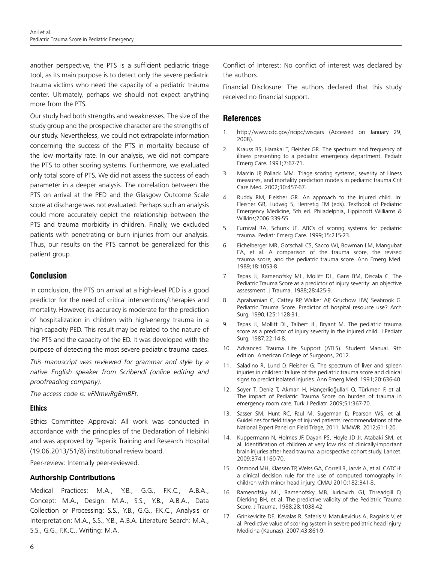another perspective, the PTS is a sufficient pediatric triage tool, as its main purpose is to detect only the severe pediatric trauma victims who need the capacity of a pediatric trauma center. Ultimately, perhaps we should not expect anything more from the PTS.

Our study had both strengths and weaknesses. The size of the study group and the prospective character are the strengths of our study. Nevertheless, we could not extrapolate information concerning the success of the PTS in mortality because of the low mortality rate. In our analysis, we did not compare the PTS to other scoring systems. Furthermore, we evaluated only total score of PTS. We did not assess the success of each parameter in a deeper analysis. The correlation between the PTS on arrival at the PED and the Glasgow Outcome Scale score at discharge was not evaluated. Perhaps such an analysis could more accurately depict the relationship between the PTS and trauma morbidity in children. Finally, we excluded patients with penetrating or burn injuries from our analysis. Thus, our results on the PTS cannot be generalized for this patient group.

# **Conclusion**

In conclusion, the PTS on arrival at a high-level PED is a good predictor for the need of critical interventions/therapies and mortality. However, its accuracy is moderate for the prediction of hospitalization in children with high-energy trauma in a high-capacity PED. This result may be related to the nature of the PTS and the capacity of the ED. It was developed with the purpose of detecting the most severe pediatric trauma cases.

*This manuscript was reviewed for grammar and style by a native English speaker from Scribendi (online editing and proofreading company).* 

*The access code is: vFNmwRgBmBFt.*

#### **Ethics**

Ethics Committee Approval: All work was conducted in accordance with the principles of the Declaration of Helsinki and was approved by Tepecik Training and Research Hospital (19.06.2013/51/8) institutional review board.

Peer-review: Internally peer-reviewed.

#### **Authorship Contributions**

Medical Practices: M.A., Y.B., G.G., F.K.C., A.B.A., Concept: M.A., Design: M.A., S.S., Y.B., A.B.A., Data Collection or Processing: S.S., Y.B., G.G., F.K.C., Analysis or Interpretation: M.A., S.S., Y.B., A.B.A. Literature Search: M.A., S.S., G.G., F.K.C., Writing: M.A.

Conflict of Interest: No conflict of interest was declared by the authors.

Financial Disclosure: The authors declared that this study received no financial support.

#### **References**

- 1. http://www.cdc.gov/ncipc/wisqars (Accessed on January 29, 2008).
- 2. Krauss BS, Harakal T, Fleisher GR. The spectrum and frequency of illness presenting to a pediatric emergency department. Pediatr Emerg Care. 1991;7:67-71.
- 3. Marcin JP, Pollack MM. Triage scoring systems, severity of illness measures, and mortality prediction models in pediatric trauma.Crit Care Med. 2002;30:457-67.
- 4. Ruddy RM, Fleisher GR. An approach to the injured child. In: Fleisher GR, Ludwig S, Henretig FM (eds). Textbook of Pediatric Emergency Medicine, 5th ed. Philadelphia, Lippincott Williams & Wilkins;2006:339-55.
- 5. Furnival RA, Schunk JE. ABCs of scoring systems for pediatric trauma. Pediatr Emerg Care. 1999;15:215-23.
- 6. Eichelberger MR, Gotschall CS, Sacco WJ, Bowman LM, Mangubat EA, et al. A comparison of the trauma score, the revised trauma score, and the pediatric trauma score. Ann Emerg Med. 1989;18:1053-8.
- 7. Tepas JJ, Ramenofsky ML, Mollitt DL, Gans BM, Discala C. The Pediatric Trauma Score as a predictor of injury severity: an objective assessment. J Trauma. 1988;28:425-9.
- 8. Aprahamian C, Cattey RP, Walker AP, Gruchow HW, Seabrook G. Pediatric Trauma Score. Predictor of hospital resource use? Arch Surg. 1990;125:1128-31.
- 9. Tepas JJ, Mollitt DL, Talbert JL, Bryant M. The pediatric trauma score as a predictor of injury severity in the injured child. J Pediatr Surg. 1987;22:14-8.
- 10 Advanced Trauma Life Support (ATLS). Student Manual. 9th edition. American College of Surgeons, 2012.
- 11. Saladino R, Lund D, Fleisher G. The spectrum of liver and spleen injuries in children: failure of the pediatric trauma score and clinical signs to predict isolated injuries. Ann Emerg Med. 1991;20:636-40.
- 12. Soyer T, Deniz T, Akman H, Hançerlioğullari O, Türkmen F, et al. The impact of Pediatric Trauma Score on burden of trauma in emergency room care. Turk J Pediatr. 2009;51:367-70.
- 13. Sasser SM, Hunt RC, Faul M, Sugerman D, Pearson WS, et al. Guidelines for field triage of injured patients: recommendations of the National Expert Panel on Field Triage, 2011. MMWR. 2012;61:1-20.
- 14. Kuppermann N, Holmes JF, Dayan PS, Hoyle JD Jr, Atabaki SM, et al. Identification of children at very low risk of clinically-important brain injuries after head trauma: a prospective cohort study. Lancet. 2009;374:1160-70.
- 15. Osmond MH, Klassen TP, Welss GA, Correll R, Jarvis A, et al. CATCH: a clinical decision rule for the use of computed tomography in children with minor head injury. CMAJ 2010;182:341-8.
- 16. Ramenofsky ML, Ramenofsky MB, Jurkovich GJ, Threadgill D, Dierking BH, et al. The predictive validity of the Pediatric Trauma Score. J Trauma. 1988;28:1038-42.
- 17. Grinkevicite DE, Kevalas R, Saferis V, Matukevicius A, Ragaisis V, et al. Predictive value of scoring system in severe pediatric head injury. Medicina (Kaunas). 2007;43:861-9.